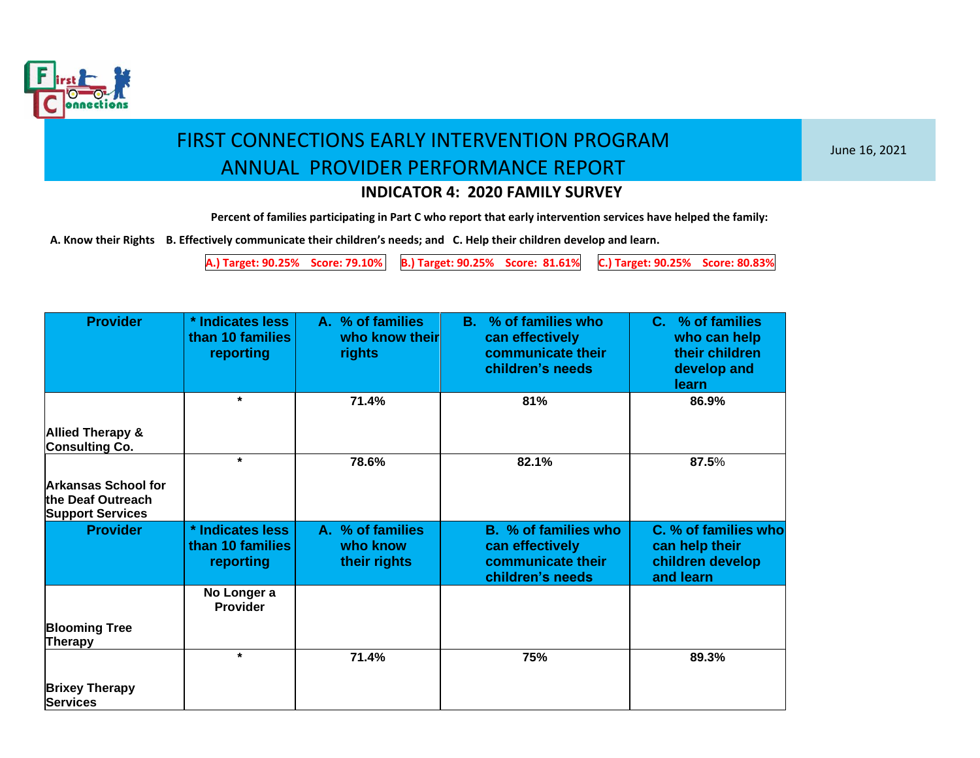

June 16, 2021

### **INDICATOR 4: 2020 FAMILY SURVEY**

**Percent of families participating in Part C who report that early intervention services have helped the family:**

 **A. Know their Rights B. Effectively communicate their children's needs; and C. Help their children develop and learn.**

**A.) Target: 90.25% Score: 79.10% B.) Target: 90.25% Score: 81.61% C.) Target: 90.25% Score: 80.83%**

| <b>Provider</b>                                                            | * Indicates less<br>than 10 families<br>reporting | A. % of families<br>who know their<br>rights | B. % of families who<br>can effectively<br>communicate their<br>children's needs | C. % of families<br>who can help<br>their children<br>develop and<br><b>learn</b> |
|----------------------------------------------------------------------------|---------------------------------------------------|----------------------------------------------|----------------------------------------------------------------------------------|-----------------------------------------------------------------------------------|
|                                                                            | $\star$                                           | 71.4%                                        | 81%                                                                              | 86.9%                                                                             |
| <b>Allied Therapy &amp;</b><br><b>Consulting Co.</b>                       |                                                   |                                              |                                                                                  |                                                                                   |
|                                                                            | $\star$                                           | 78.6%                                        | 82.1%                                                                            | 87.5%                                                                             |
| <b>Arkansas School for</b><br>the Deaf Outreach<br><b>Support Services</b> |                                                   |                                              |                                                                                  |                                                                                   |
| <b>Provider</b>                                                            | * Indicates less<br>than 10 families<br>reporting | A. % of families<br>who know<br>their rights | B. % of families who<br>can effectively<br>communicate their<br>children's needs | C. % of families who<br>can help their<br>children develop<br>and learn           |
|                                                                            | No Longer a<br><b>Provider</b>                    |                                              |                                                                                  |                                                                                   |
| <b>Blooming Tree</b><br>Therapy                                            |                                                   |                                              |                                                                                  |                                                                                   |
|                                                                            | $\star$                                           | 71.4%                                        | 75%                                                                              | 89.3%                                                                             |
| <b>Brixey Therapy</b><br><b>Services</b>                                   |                                                   |                                              |                                                                                  |                                                                                   |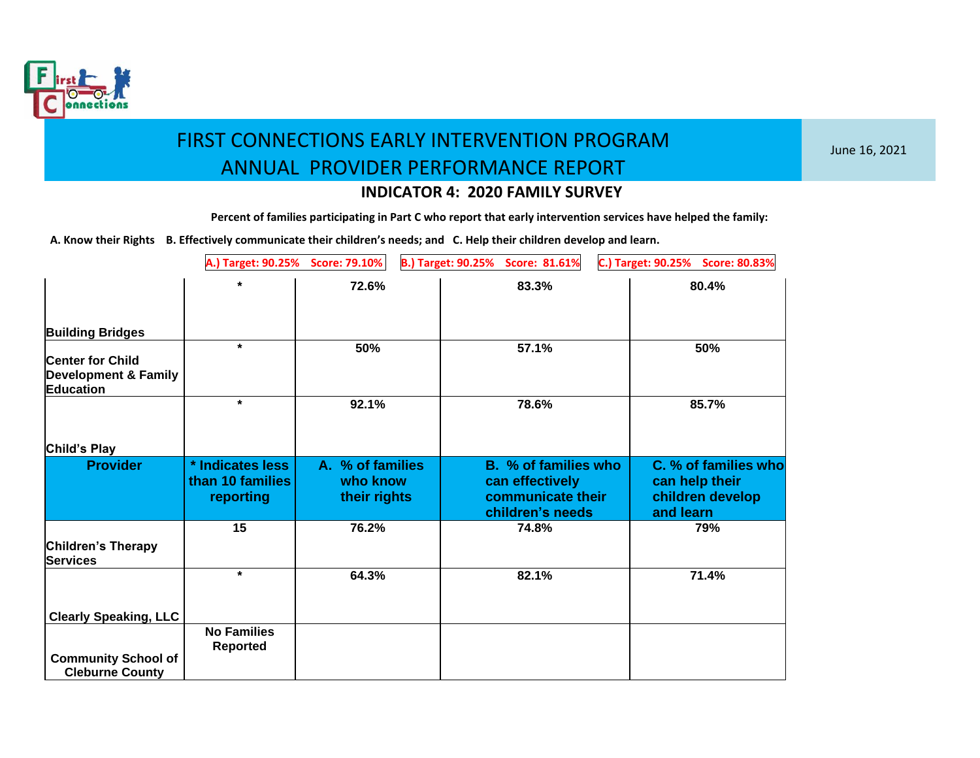

June 16, 2021

### **INDICATOR 4: 2020 FAMILY SURVEY**

**Percent of families participating in Part C who report that early intervention services have helped the family:**

|                                                      | A.) Target: 90.25%                   | <b>Score: 79.10%</b>         | B.) Target: 90.25% Score: 81.61%        | C.) Target: 90.25% Score: 80.83%       |
|------------------------------------------------------|--------------------------------------|------------------------------|-----------------------------------------|----------------------------------------|
|                                                      | ¥                                    | 72.6%                        | 83.3%                                   | 80.4%                                  |
|                                                      |                                      |                              |                                         |                                        |
| <b>Building Bridges</b>                              |                                      |                              |                                         |                                        |
| <b>Center for Child</b>                              | $\star$                              | 50%                          | 57.1%                                   | 50%                                    |
| <b>Development &amp; Family</b><br><b>Education</b>  |                                      |                              |                                         |                                        |
|                                                      | $\star$                              | 92.1%                        | 78.6%                                   | 85.7%                                  |
|                                                      |                                      |                              |                                         |                                        |
| Child's Play                                         |                                      |                              |                                         |                                        |
| <b>Provider</b>                                      | * Indicates less<br>than 10 families | A. % of families<br>who know | B. % of families who<br>can effectively | C. % of families who<br>can help their |
|                                                      | reporting                            | their rights                 | communicate their<br>children's needs   | children develop<br>and learn          |
|                                                      | 15                                   | 76.2%                        | 74.8%                                   | 79%                                    |
| Children's Therapy<br><b>Services</b>                |                                      |                              |                                         |                                        |
|                                                      | $\star$                              | 64.3%                        | 82.1%                                   | 71.4%                                  |
| <b>Clearly Speaking, LLC</b>                         |                                      |                              |                                         |                                        |
|                                                      | <b>No Families</b>                   |                              |                                         |                                        |
|                                                      | <b>Reported</b>                      |                              |                                         |                                        |
| <b>Community School of</b><br><b>Cleburne County</b> |                                      |                              |                                         |                                        |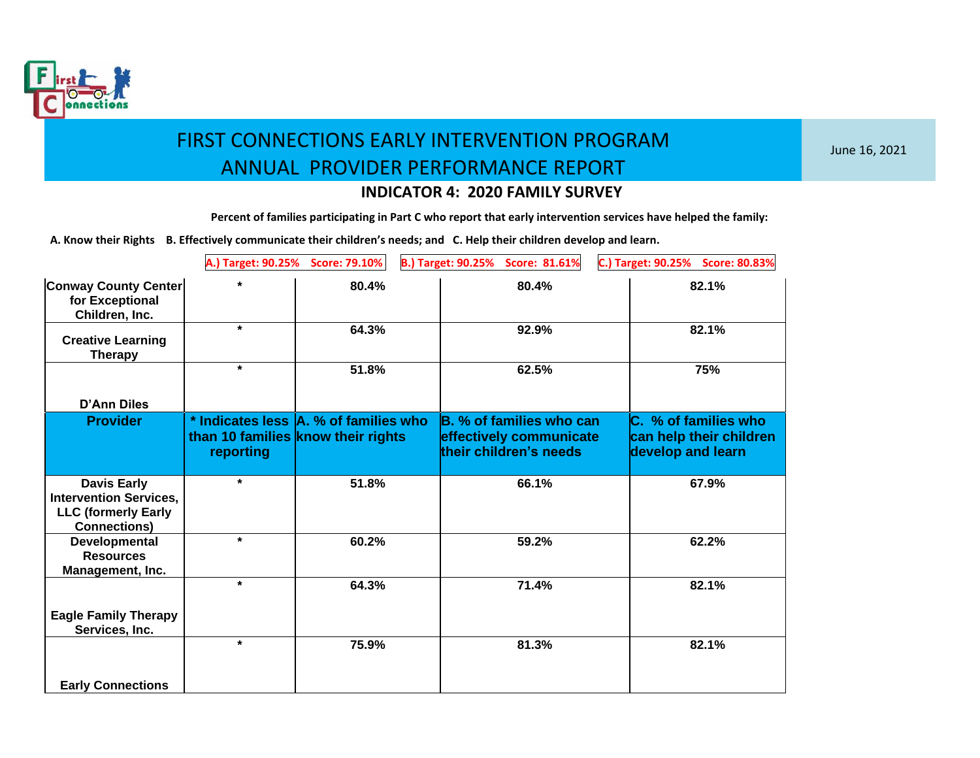

June 16, 2021

### **INDICATOR 4: 2020 FAMILY SURVEY**

**Percent of families participating in Part C who report that early intervention services have helped the family:**

|                                                                                                          | A.) Target: 90.25%                                                                       | <b>Score: 79.10%</b> | <b>B.) Target: 90.25%</b><br>Score: 81.61%                                    | C.) Target: 90.25%<br><b>Score: 80.83%</b>                           |
|----------------------------------------------------------------------------------------------------------|------------------------------------------------------------------------------------------|----------------------|-------------------------------------------------------------------------------|----------------------------------------------------------------------|
| <b>Conway County Center</b><br>for Exceptional<br>Children, Inc.                                         |                                                                                          | 80.4%                | 80.4%                                                                         | 82.1%                                                                |
| <b>Creative Learning</b><br><b>Therapy</b>                                                               | $\star$                                                                                  | 64.3%                | 92.9%                                                                         | 82.1%                                                                |
| <b>D'Ann Diles</b>                                                                                       | $\star$                                                                                  | 51.8%                | 62.5%                                                                         | 75%                                                                  |
| <b>Provider</b>                                                                                          | * Indicates less A. % of families who<br>than 10 families know their rights<br>reporting |                      | B. % of families who can<br>effectively communicate<br>their children's needs | C. % of families who<br>can help their children<br>develop and learn |
| <b>Davis Early</b><br><b>Intervention Services,</b><br><b>LLC (formerly Early</b><br><b>Connections)</b> | $\star$                                                                                  | 51.8%                | 66.1%                                                                         | 67.9%                                                                |
| Developmental<br><b>Resources</b><br>Management, Inc.                                                    | $\star$                                                                                  | 60.2%                | 59.2%                                                                         | 62.2%                                                                |
| <b>Eagle Family Therapy</b><br>Services, Inc.                                                            | $\star$                                                                                  | 64.3%                | 71.4%                                                                         | 82.1%                                                                |
| <b>Early Connections</b>                                                                                 | $\star$                                                                                  | 75.9%                | 81.3%                                                                         | 82.1%                                                                |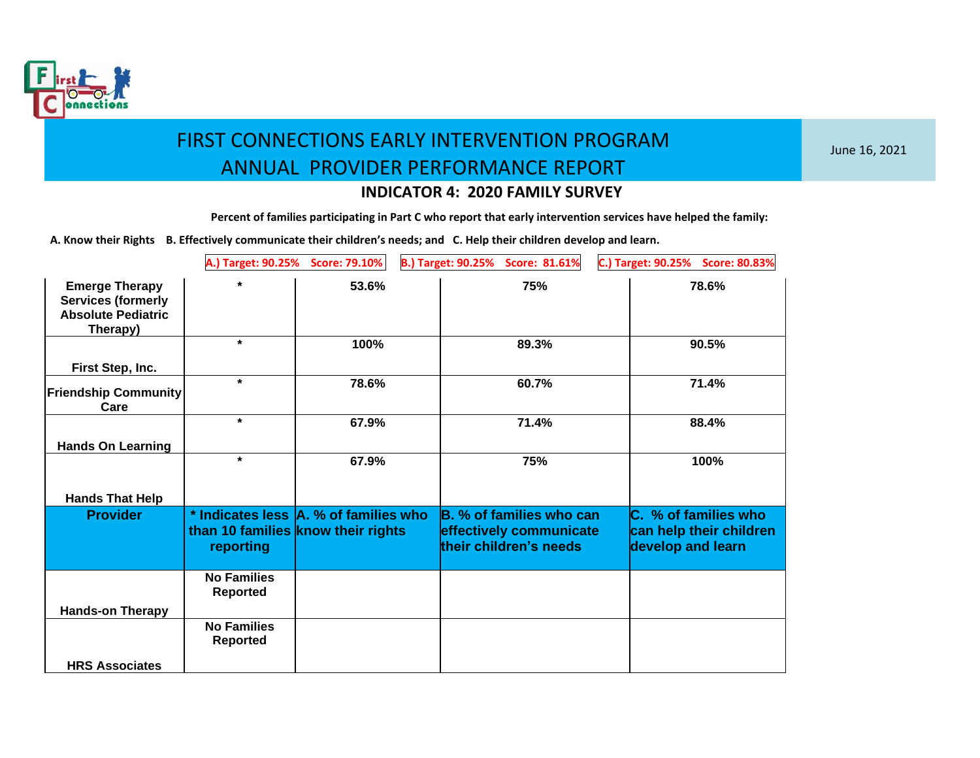

June 16, 2021

### **INDICATOR 4: 2020 FAMILY SURVEY**

**Percent of families participating in Part C who report that early intervention services have helped the family:**

|                                                                                             | A.) Target: 90.25%                    | <b>Score: 79.10%</b>                                                        | <b>B.) Target: 90.25%</b><br>Score: 81.61%                                    | C.) Target: 90.25%<br><b>Score: 80.83%</b>                           |
|---------------------------------------------------------------------------------------------|---------------------------------------|-----------------------------------------------------------------------------|-------------------------------------------------------------------------------|----------------------------------------------------------------------|
| <b>Emerge Therapy</b><br><b>Services (formerly</b><br><b>Absolute Pediatric</b><br>Therapy) |                                       | 53.6%                                                                       | 75%                                                                           | 78.6%                                                                |
|                                                                                             | $\star$                               | 100%                                                                        | 89.3%                                                                         | 90.5%                                                                |
| First Step, Inc.                                                                            |                                       |                                                                             |                                                                               |                                                                      |
| <b>Friendship Community</b><br>Care                                                         | $\star$                               | 78.6%                                                                       | 60.7%                                                                         | 71.4%                                                                |
|                                                                                             | $\star$                               | 67.9%                                                                       | 71.4%                                                                         | 88.4%                                                                |
| <b>Hands On Learning</b>                                                                    |                                       |                                                                             |                                                                               |                                                                      |
|                                                                                             | $\star$                               | 67.9%                                                                       | 75%                                                                           | 100%                                                                 |
| <b>Hands That Help</b>                                                                      |                                       |                                                                             |                                                                               |                                                                      |
| <b>Provider</b>                                                                             | reporting                             | * Indicates less A. % of families who<br>than 10 families know their rights | B. % of families who can<br>effectively communicate<br>their children's needs | C. % of families who<br>can help their children<br>develop and learn |
|                                                                                             | <b>No Families</b>                    |                                                                             |                                                                               |                                                                      |
| <b>Hands-on Therapy</b>                                                                     | <b>Reported</b>                       |                                                                             |                                                                               |                                                                      |
|                                                                                             | <b>No Families</b><br><b>Reported</b> |                                                                             |                                                                               |                                                                      |
| <b>HRS Associates</b>                                                                       |                                       |                                                                             |                                                                               |                                                                      |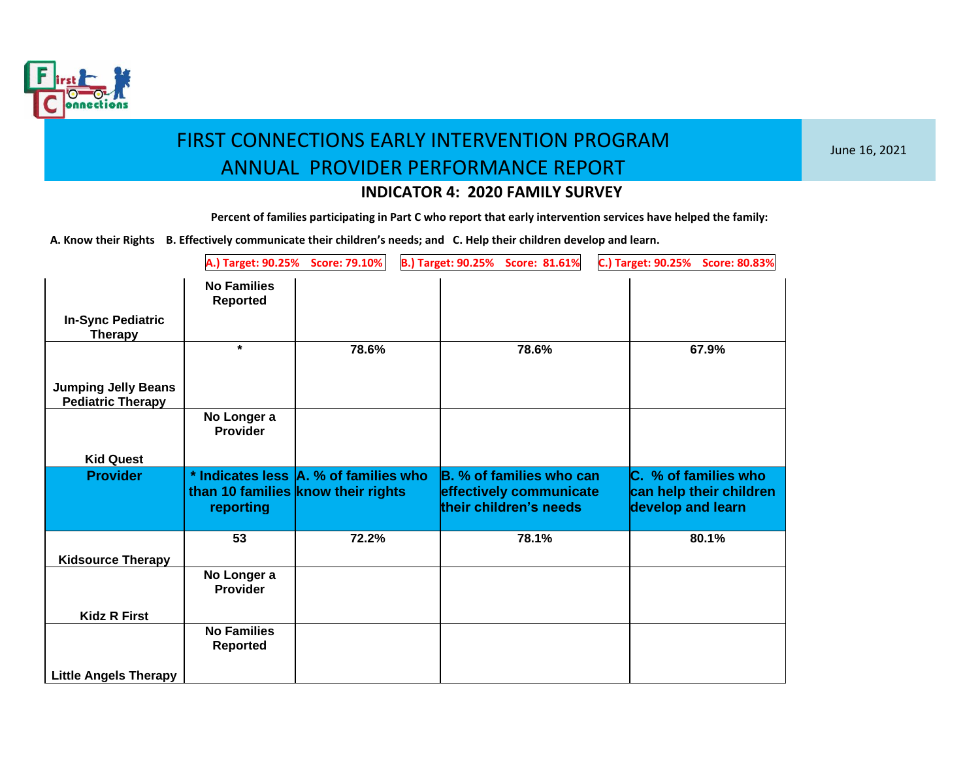

June 16, 2021

### **INDICATOR 4: 2020 FAMILY SURVEY**

**Percent of families participating in Part C who report that early intervention services have helped the family:**

|                                                        | A.) Target: 90.25%                                                                       | <b>Score: 79.10%</b> | <b>B.) Target: 90.25%</b> | Score: 81.61%                                                                 | C.) Target: 90.25%                                                   | <b>Score: 80.83%</b> |
|--------------------------------------------------------|------------------------------------------------------------------------------------------|----------------------|---------------------------|-------------------------------------------------------------------------------|----------------------------------------------------------------------|----------------------|
| <b>In-Sync Pediatric</b><br><b>Therapy</b>             | <b>No Families</b><br><b>Reported</b>                                                    |                      |                           |                                                                               |                                                                      |                      |
|                                                        | $\star$                                                                                  | 78.6%                |                           | 78.6%                                                                         | 67.9%                                                                |                      |
| <b>Jumping Jelly Beans</b><br><b>Pediatric Therapy</b> |                                                                                          |                      |                           |                                                                               |                                                                      |                      |
|                                                        | No Longer a<br><b>Provider</b>                                                           |                      |                           |                                                                               |                                                                      |                      |
| <b>Kid Quest</b>                                       |                                                                                          |                      |                           |                                                                               |                                                                      |                      |
|                                                        |                                                                                          |                      |                           |                                                                               |                                                                      |                      |
| <b>Provider</b>                                        | * Indicates less A. % of families who<br>than 10 families know their rights<br>reporting |                      |                           | B. % of families who can<br>effectively communicate<br>their children's needs | C. % of families who<br>can help their children<br>develop and learn |                      |
|                                                        | 53                                                                                       | 72.2%                |                           | 78.1%                                                                         | 80.1%                                                                |                      |
| <b>Kidsource Therapy</b>                               |                                                                                          |                      |                           |                                                                               |                                                                      |                      |
|                                                        | No Longer a<br><b>Provider</b>                                                           |                      |                           |                                                                               |                                                                      |                      |
| <b>Kidz R First</b>                                    |                                                                                          |                      |                           |                                                                               |                                                                      |                      |
|                                                        | <b>No Families</b><br><b>Reported</b>                                                    |                      |                           |                                                                               |                                                                      |                      |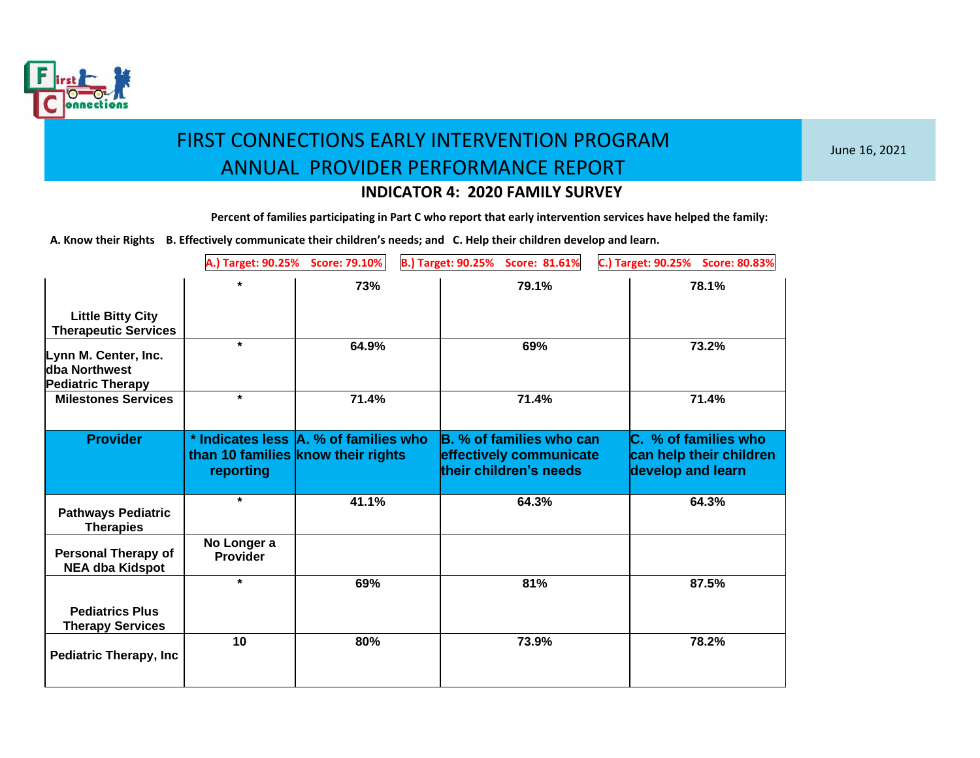

June 16, 2021

### **INDICATOR 4: 2020 FAMILY SURVEY**

**Percent of families participating in Part C who report that early intervention services have helped the family:**

|                                                                   | A.) Target: 90.25%      | <b>Score: 79.10%</b>                                                        | B.) Target: 90.25% Score: 81.61%                                              | C.) Target: 90.25%<br><b>Score: 80.83%</b>                           |
|-------------------------------------------------------------------|-------------------------|-----------------------------------------------------------------------------|-------------------------------------------------------------------------------|----------------------------------------------------------------------|
|                                                                   | $\star$                 | 73%                                                                         | 79.1%                                                                         | 78.1%                                                                |
| <b>Little Bitty City</b><br><b>Therapeutic Services</b>           |                         |                                                                             |                                                                               |                                                                      |
| Lynn M. Center, Inc.<br>dba Northwest<br><b>Pediatric Therapy</b> | $\star$                 | 64.9%                                                                       | 69%                                                                           | 73.2%                                                                |
| <b>Milestones Services</b>                                        | $\star$                 | 71.4%                                                                       | 71.4%                                                                         | 71.4%                                                                |
| <b>Provider</b>                                                   | reporting               | * Indicates less A. % of families who<br>than 10 families know their rights | B. % of families who can<br>effectively communicate<br>their children's needs | C. % of families who<br>can help their children<br>develop and learn |
| <b>Pathways Pediatric</b><br><b>Therapies</b>                     | $\star$                 | 41.1%                                                                       | 64.3%                                                                         | 64.3%                                                                |
| <b>Personal Therapy of</b><br><b>NEA dba Kidspot</b>              | No Longer a<br>Provider |                                                                             |                                                                               |                                                                      |
|                                                                   | $\star$                 | 69%                                                                         | 81%                                                                           | 87.5%                                                                |
| <b>Pediatrics Plus</b><br><b>Therapy Services</b>                 |                         |                                                                             |                                                                               |                                                                      |
| <b>Pediatric Therapy, Inc.</b>                                    | 10                      | 80%                                                                         | 73.9%                                                                         | 78.2%                                                                |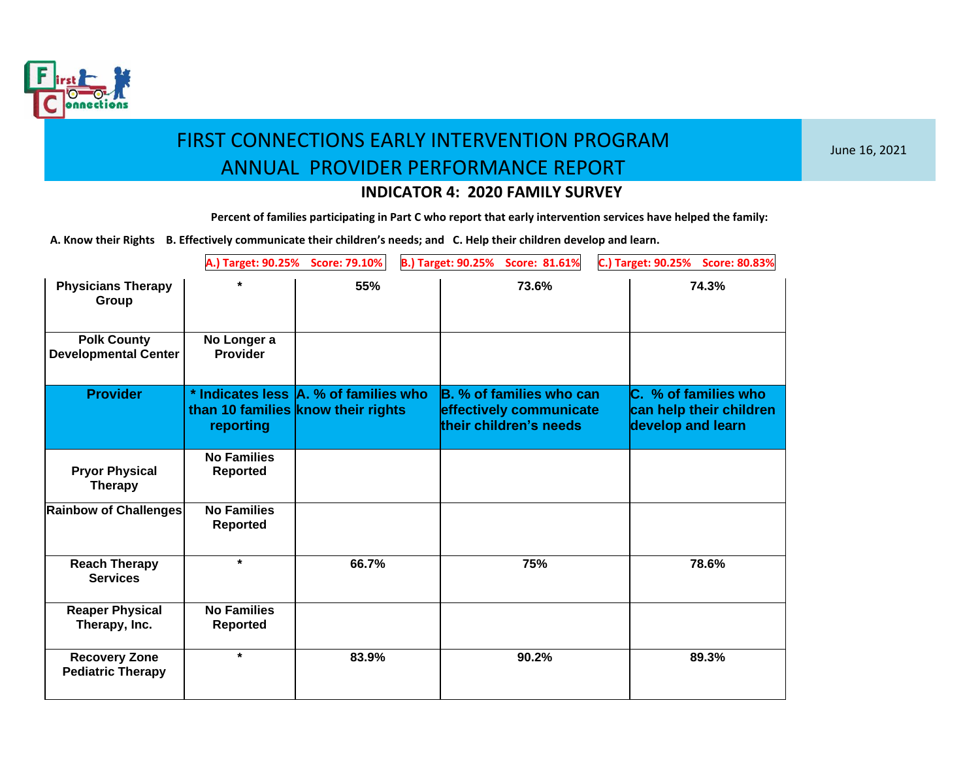

June 16, 2021

### **INDICATOR 4: 2020 FAMILY SURVEY**

**Percent of families participating in Part C who report that early intervention services have helped the family:**

|                                                   | A.) Target: 90.25%                    | <b>Score: 79.10%</b>                                                        | <b>B.) Target: 90.25%</b><br>Score: 81.61%                                    | C.) Target: 90.25%<br><b>Score: 80.83%</b>                           |
|---------------------------------------------------|---------------------------------------|-----------------------------------------------------------------------------|-------------------------------------------------------------------------------|----------------------------------------------------------------------|
| <b>Physicians Therapy</b><br>Group                | ÷                                     | 55%                                                                         | 73.6%                                                                         | 74.3%                                                                |
| <b>Polk County</b><br><b>Developmental Center</b> | No Longer a<br><b>Provider</b>        |                                                                             |                                                                               |                                                                      |
| <b>Provider</b>                                   | reporting                             | * Indicates less A. % of families who<br>than 10 families know their rights | B. % of families who can<br>effectively communicate<br>their children's needs | C. % of families who<br>can help their children<br>develop and learn |
| <b>Pryor Physical</b><br><b>Therapy</b>           | <b>No Families</b><br><b>Reported</b> |                                                                             |                                                                               |                                                                      |
| Rainbow of Challenges                             | <b>No Families</b><br><b>Reported</b> |                                                                             |                                                                               |                                                                      |
| <b>Reach Therapy</b><br><b>Services</b>           | $\star$                               | 66.7%                                                                       | 75%                                                                           | 78.6%                                                                |
| <b>Reaper Physical</b><br>Therapy, Inc.           | <b>No Families</b><br><b>Reported</b> |                                                                             |                                                                               |                                                                      |
| <b>Recovery Zone</b><br><b>Pediatric Therapy</b>  | $\star$                               | 83.9%                                                                       | 90.2%                                                                         | 89.3%                                                                |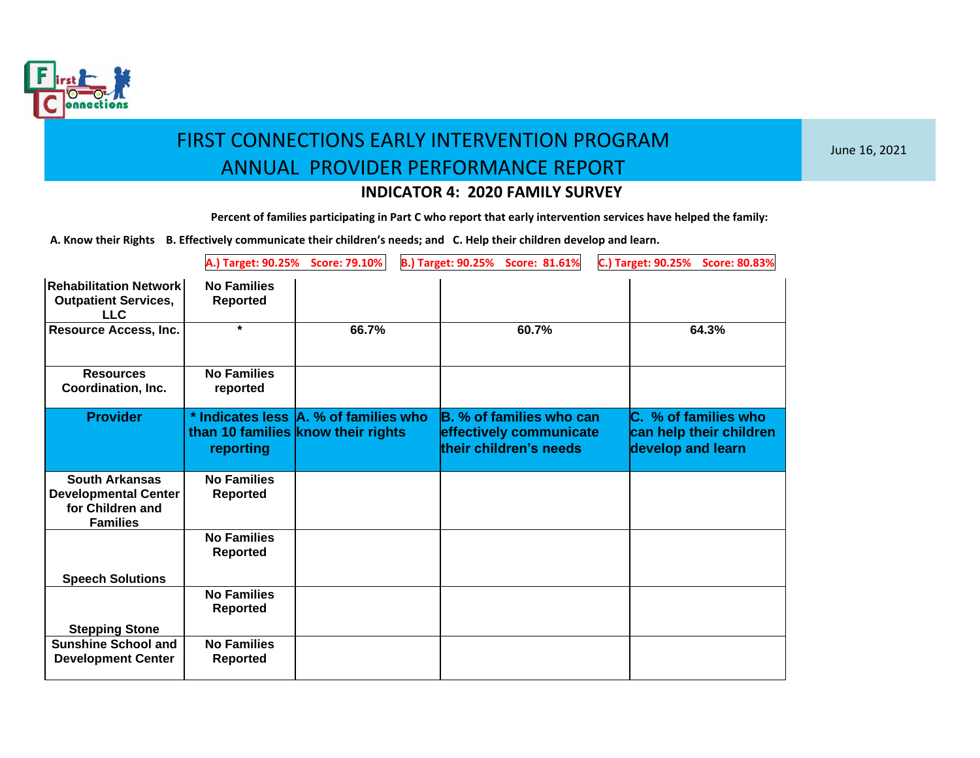

June 16, 2021

### **INDICATOR 4: 2020 FAMILY SURVEY**

**Percent of families participating in Part C who report that early intervention services have helped the family:**

|                                                                                             | A.) Target: 90.25%                                                                       | <b>Score: 79.10%</b> | <b>B.) Target: 90.25%</b><br><b>Score: 81.61%</b>                             | C.) Target: 90.25%<br><b>Score: 80.83%</b>                           |
|---------------------------------------------------------------------------------------------|------------------------------------------------------------------------------------------|----------------------|-------------------------------------------------------------------------------|----------------------------------------------------------------------|
| <b>Rehabilitation Network</b><br><b>Outpatient Services,</b><br><b>LLC</b>                  | <b>No Families</b><br><b>Reported</b>                                                    |                      |                                                                               |                                                                      |
| <b>Resource Access, Inc.</b>                                                                | $\star$                                                                                  | 66.7%                | 60.7%                                                                         | 64.3%                                                                |
| <b>Resources</b><br>Coordination, Inc.                                                      | <b>No Families</b><br>reported                                                           |                      |                                                                               |                                                                      |
| <b>Provider</b>                                                                             | * Indicates less A. % of families who<br>than 10 families know their rights<br>reporting |                      | B. % of families who can<br>effectively communicate<br>their children's needs | C. % of families who<br>can help their children<br>develop and learn |
| <b>South Arkansas</b><br><b>Developmental Center</b><br>for Children and<br><b>Families</b> | <b>No Families</b><br><b>Reported</b>                                                    |                      |                                                                               |                                                                      |
| <b>Speech Solutions</b>                                                                     | <b>No Families</b><br><b>Reported</b>                                                    |                      |                                                                               |                                                                      |
| <b>Stepping Stone</b>                                                                       | <b>No Families</b><br><b>Reported</b>                                                    |                      |                                                                               |                                                                      |
| <b>Sunshine School and</b><br><b>Development Center</b>                                     | <b>No Families</b><br><b>Reported</b>                                                    |                      |                                                                               |                                                                      |